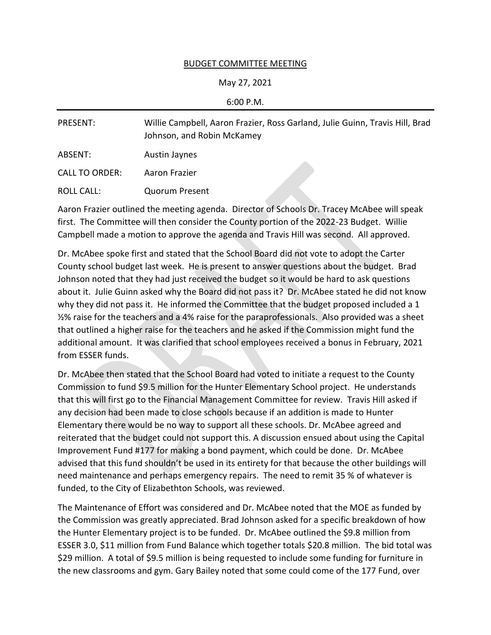## BUDGET COMMITTEE MEETING

## May 27, 2021

## 6:00 P.M.

| PRESENT:              | Willie Campbell, Aaron Frazier, Ross Garland, Julie Guinn, Travis Hill, Brad<br>Johnson, and Robin McKamey |
|-----------------------|------------------------------------------------------------------------------------------------------------|
| ABSENT:               | Austin Jaynes                                                                                              |
| <b>CALL TO ORDER:</b> | Aaron Frazier                                                                                              |
| ROLL CALL:            | <b>Quorum Present</b>                                                                                      |

Aaron Frazier outlined the meeting agenda. Director of Schools Dr. Tracey McAbee will speak first. The Committee will then consider the County portion of the 2022-23 Budget. Willie Campbell made a motion to approve the agenda and Travis Hill was second. All approved.

Dr. McAbee spoke first and stated that the School Board did not vote to adopt the Carter County school budget last week. He is present to answer questions about the budget. Brad Johnson noted that they had just received the budget so it would be hard to ask questions about it. Julie Guinn asked why the Board did not pass it? Dr. McAbee stated he did not know why they did not pass it. He informed the Committee that the budget proposed included a 1 ½% raise for the teachers and a 4% raise for the paraprofessionals. Also provided was a sheet that outlined a higher raise for the teachers and he asked if the Commission might fund the additional amount. It was clarified that school employees received a bonus in February, 2021 from ESSER funds.

Dr. McAbee then stated that the School Board had voted to initiate a request to the County Commission to fund \$9.5 million for the Hunter Elementary School project. He understands that this will first go to the Financial Management Committee for review. Travis Hill asked if any decision had been made to close schools because if an addition is made to Hunter Elementary there would be no way to support all these schools. Dr. McAbee agreed and reiterated that the budget could not support this. A discussion ensued about using the Capital Improvement Fund #177 for making a bond payment, which could be done. Dr. McAbee advised that this fund shouldn't be used in its entirety for that because the other buildings will need maintenance and perhaps emergency repairs. The need to remit 35 % of whatever is funded, to the City of Elizabethton Schools, was reviewed.

The Maintenance of Effort was considered and Dr. McAbee noted that the MOE as funded by the Commission was greatly appreciated. Brad Johnson asked for a specific breakdown of how the Hunter Elementary project is to be funded. Dr. McAbee outlined the \$9.8 million from ESSER 3.0, \$11 million from Fund Balance which together totals \$20.8 million. The bid total was \$29 million. A total of \$9.5 million is being requested to include some funding for furniture in the new classrooms and gym. Gary Bailey noted that some could come of the 177 Fund, over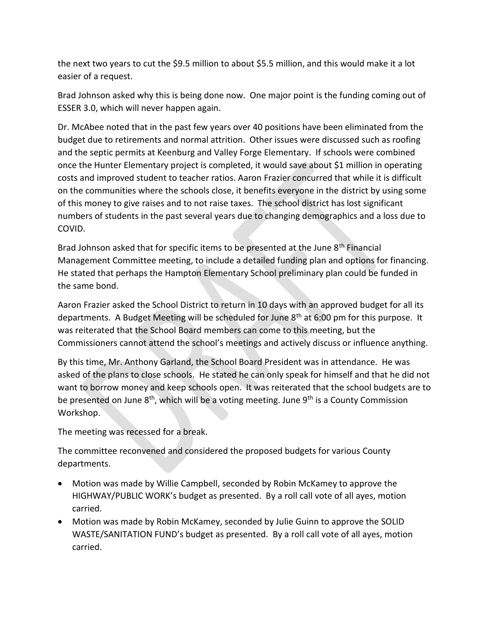the next two years to cut the \$9.5 million to about \$5.5 million, and this would make it a lot easier of a request.

Brad Johnson asked why this is being done now. One major point is the funding coming out of ESSER 3.0, which will never happen again.

Dr. McAbee noted that in the past few years over 40 positions have been eliminated from the budget due to retirements and normal attrition. Other issues were discussed such as roofing and the septic permits at Keenburg and Valley Forge Elementary. If schools were combined once the Hunter Elementary project is completed, it would save about \$1 million in operating costs and improved student to teacher ratios. Aaron Frazier concurred that while it is difficult on the communities where the schools close, it benefits everyone in the district by using some of this money to give raises and to not raise taxes. The school district has lost significant numbers of students in the past several years due to changing demographics and a loss due to COVID.

Brad Johnson asked that for specific items to be presented at the June  $8<sup>th</sup>$  Financial Management Committee meeting, to include a detailed funding plan and options for financing. He stated that perhaps the Hampton Elementary School preliminary plan could be funded in the same bond.

Aaron Frazier asked the School District to return in 10 days with an approved budget for all its departments. A Budget Meeting will be scheduled for June  $8<sup>th</sup>$  at 6:00 pm for this purpose. It was reiterated that the School Board members can come to this meeting, but the Commissioners cannot attend the school's meetings and actively discuss or influence anything.

By this time, Mr. Anthony Garland, the School Board President was in attendance. He was asked of the plans to close schools. He stated he can only speak for himself and that he did not want to borrow money and keep schools open. It was reiterated that the school budgets are to be presented on June 8<sup>th</sup>, which will be a voting meeting. June 9<sup>th</sup> is a County Commission Workshop.

The meeting was recessed for a break.

The committee reconvened and considered the proposed budgets for various County departments.

- Motion was made by Willie Campbell, seconded by Robin McKamey to approve the HIGHWAY/PUBLIC WORK's budget as presented. By a roll call vote of all ayes, motion carried.
- Motion was made by Robin McKamey, seconded by Julie Guinn to approve the SOLID WASTE/SANITATION FUND's budget as presented. By a roll call vote of all ayes, motion carried.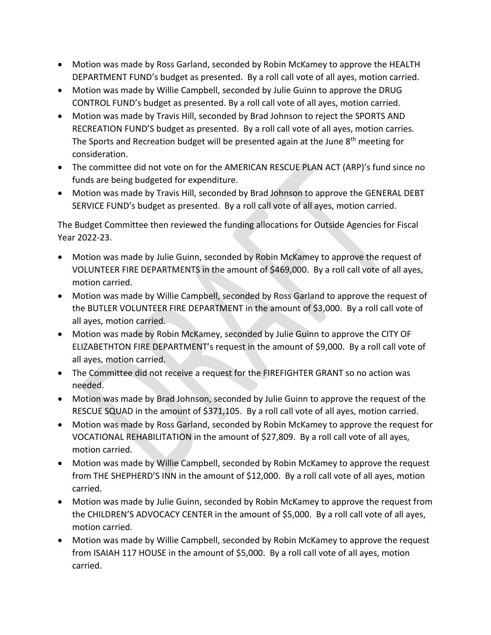- Motion was made by Ross Garland, seconded by Robin McKamey to approve the HEALTH DEPARTMENT FUND's budget as presented. By a roll call vote of all ayes, motion carried.
- Motion was made by Willie Campbell, seconded by Julie Guinn to approve the DRUG CONTROL FUND's budget as presented. By a roll call vote of all ayes, motion carried.
- Motion was made by Travis Hill, seconded by Brad Johnson to reject the SPORTS AND RECREATION FUND'S budget as presented. By a roll call vote of all ayes, motion carries. The Sports and Recreation budget will be presented again at the June  $8<sup>th</sup>$  meeting for consideration.
- The committee did not vote on for the AMERICAN RESCUE PLAN ACT (ARP)'s fund since no funds are being budgeted for expenditure.
- Motion was made by Travis Hill, seconded by Brad Johnson to approve the GENERAL DEBT SERVICE FUND's budget as presented. By a roll call vote of all ayes, motion carried.

The Budget Committee then reviewed the funding allocations for Outside Agencies for Fiscal Year 2022-23.

- Motion was made by Julie Guinn, seconded by Robin McKamey to approve the request of VOLUNTEER FIRE DEPARTMENTS in the amount of \$469,000. By a roll call vote of all ayes, motion carried.
- Motion was made by Willie Campbell, seconded by Ross Garland to approve the request of the BUTLER VOLUNTEER FIRE DEPARTMENT in the amount of \$3,000. By a roll call vote of all ayes, motion carried.
- Motion was made by Robin McKamey, seconded by Julie Guinn to approve the CITY OF ELIZABETHTON FIRE DEPARTMENT's request in the amount of \$9,000. By a roll call vote of all ayes, motion carried.
- The Committee did not receive a request for the FIREFIGHTER GRANT so no action was needed.
- Motion was made by Brad Johnson, seconded by Julie Guinn to approve the request of the RESCUE SQUAD in the amount of \$371,105. By a roll call vote of all ayes, motion carried.
- Motion was made by Ross Garland, seconded by Robin McKamey to approve the request for VOCATIONAL REHABILITATION in the amount of \$27,809. By a roll call vote of all ayes, motion carried.
- Motion was made by Willie Campbell, seconded by Robin McKamey to approve the request from THE SHEPHERD'S INN in the amount of \$12,000. By a roll call vote of all ayes, motion carried.
- Motion was made by Julie Guinn, seconded by Robin McKamey to approve the request from the CHILDREN'S ADVOCACY CENTER in the amount of \$5,000. By a roll call vote of all ayes, motion carried.
- Motion was made by Willie Campbell, seconded by Robin McKamey to approve the request from ISAIAH 117 HOUSE in the amount of \$5,000. By a roll call vote of all ayes, motion carried.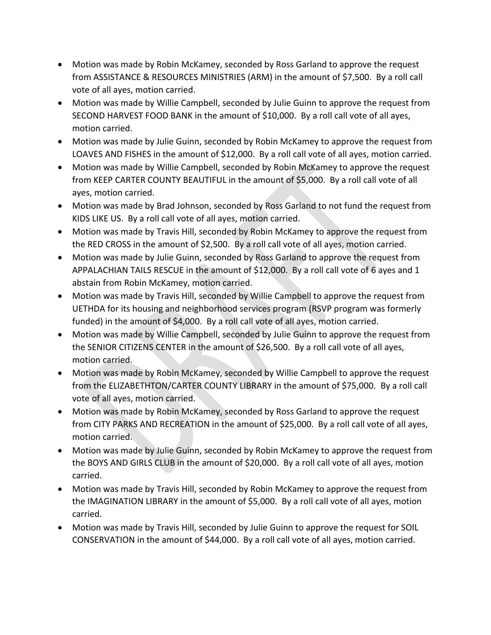- Motion was made by Robin McKamey, seconded by Ross Garland to approve the request from ASSISTANCE & RESOURCES MINISTRIES (ARM) in the amount of \$7,500. By a roll call vote of all ayes, motion carried.
- Motion was made by Willie Campbell, seconded by Julie Guinn to approve the request from SECOND HARVEST FOOD BANK in the amount of \$10,000. By a roll call vote of all ayes, motion carried.
- Motion was made by Julie Guinn, seconded by Robin McKamey to approve the request from LOAVES AND FISHES in the amount of \$12,000. By a roll call vote of all ayes, motion carried.
- Motion was made by Willie Campbell, seconded by Robin McKamey to approve the request from KEEP CARTER COUNTY BEAUTIFUL in the amount of \$5,000. By a roll call vote of all ayes, motion carried.
- Motion was made by Brad Johnson, seconded by Ross Garland to not fund the request from KIDS LIKE US. By a roll call vote of all ayes, motion carried.
- Motion was made by Travis Hill, seconded by Robin McKamey to approve the request from the RED CROSS in the amount of \$2,500. By a roll call vote of all ayes, motion carried.
- Motion was made by Julie Guinn, seconded by Ross Garland to approve the request from APPALACHIAN TAILS RESCUE in the amount of \$12,000. By a roll call vote of 6 ayes and 1 abstain from Robin McKamey, motion carried.
- Motion was made by Travis Hill, seconded by Willie Campbell to approve the request from UETHDA for its housing and neighborhood services program (RSVP program was formerly funded) in the amount of \$4,000. By a roll call vote of all ayes, motion carried.
- Motion was made by Willie Campbell, seconded by Julie Guinn to approve the request from the SENIOR CITIZENS CENTER in the amount of \$26,500. By a roll call vote of all ayes, motion carried.
- Motion was made by Robin McKamey, seconded by Willie Campbell to approve the request from the ELIZABETHTON/CARTER COUNTY LIBRARY in the amount of \$75,000. By a roll call vote of all ayes, motion carried.
- Motion was made by Robin McKamey, seconded by Ross Garland to approve the request from CITY PARKS AND RECREATION in the amount of \$25,000. By a roll call vote of all ayes, motion carried.
- Motion was made by Julie Guinn, seconded by Robin McKamey to approve the request from the BOYS AND GIRLS CLUB in the amount of \$20,000. By a roll call vote of all ayes, motion carried.
- Motion was made by Travis Hill, seconded by Robin McKamey to approve the request from the IMAGINATION LIBRARY in the amount of \$5,000. By a roll call vote of all ayes, motion carried.
- Motion was made by Travis Hill, seconded by Julie Guinn to approve the request for SOIL CONSERVATION in the amount of \$44,000. By a roll call vote of all ayes, motion carried.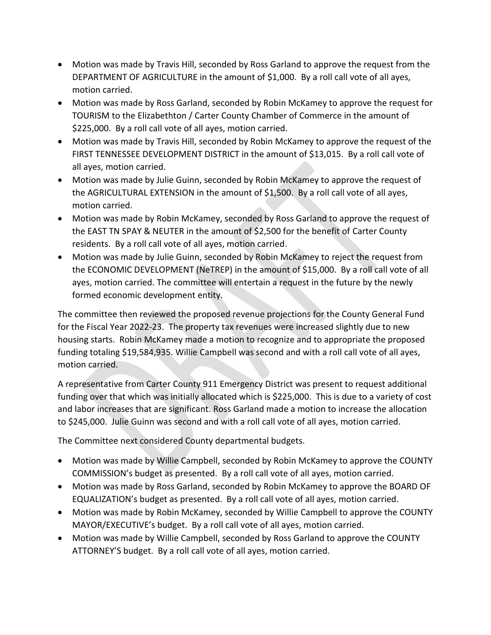- Motion was made by Travis Hill, seconded by Ross Garland to approve the request from the DEPARTMENT OF AGRICULTURE in the amount of \$1,000. By a roll call vote of all ayes, motion carried.
- Motion was made by Ross Garland, seconded by Robin McKamey to approve the request for TOURISM to the Elizabethton / Carter County Chamber of Commerce in the amount of \$225,000. By a roll call vote of all ayes, motion carried.
- Motion was made by Travis Hill, seconded by Robin McKamey to approve the request of the FIRST TENNESSEE DEVELOPMENT DISTRICT in the amount of \$13,015. By a roll call vote of all ayes, motion carried.
- Motion was made by Julie Guinn, seconded by Robin McKamey to approve the request of the AGRICULTURAL EXTENSION in the amount of \$1,500. By a roll call vote of all ayes, motion carried.
- Motion was made by Robin McKamey, seconded by Ross Garland to approve the request of the EAST TN SPAY & NEUTER in the amount of \$2,500 for the benefit of Carter County residents. By a roll call vote of all ayes, motion carried.
- Motion was made by Julie Guinn, seconded by Robin McKamey to reject the request from the ECONOMIC DEVELOPMENT (NeTREP) in the amount of \$15,000. By a roll call vote of all ayes, motion carried. The committee will entertain a request in the future by the newly formed economic development entity.

The committee then reviewed the proposed revenue projections for the County General Fund for the Fiscal Year 2022-23. The property tax revenues were increased slightly due to new housing starts. Robin McKamey made a motion to recognize and to appropriate the proposed funding totaling \$19,584,935. Willie Campbell was second and with a roll call vote of all ayes, motion carried.

A representative from Carter County 911 Emergency District was present to request additional funding over that which was initially allocated which is \$225,000. This is due to a variety of cost and labor increases that are significant. Ross Garland made a motion to increase the allocation to \$245,000. Julie Guinn was second and with a roll call vote of all ayes, motion carried.

The Committee next considered County departmental budgets.

- Motion was made by Willie Campbell, seconded by Robin McKamey to approve the COUNTY COMMISSION's budget as presented. By a roll call vote of all ayes, motion carried.
- Motion was made by Ross Garland, seconded by Robin McKamey to approve the BOARD OF EQUALIZATION's budget as presented. By a roll call vote of all ayes, motion carried.
- Motion was made by Robin McKamey, seconded by Willie Campbell to approve the COUNTY MAYOR/EXECUTIVE's budget. By a roll call vote of all ayes, motion carried.
- Motion was made by Willie Campbell, seconded by Ross Garland to approve the COUNTY ATTORNEY'S budget. By a roll call vote of all ayes, motion carried.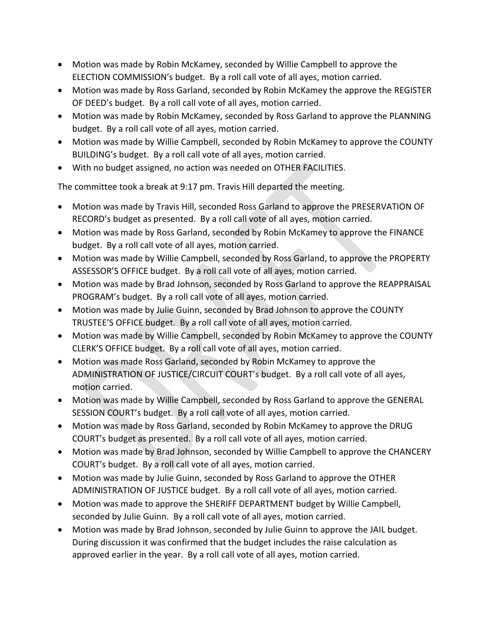- Motion was made by Robin McKamey, seconded by Willie Campbell to approve the ELECTION COMMISSION's budget. By a roll call vote of all ayes, motion carried.
- Motion was made by Ross Garland, seconded by Robin McKamey the approve the REGISTER OF DEED's budget. By a roll call vote of all ayes, motion carried.
- Motion was made by Robin McKamey, seconded by Ross Garland to approve the PLANNING budget. By a roll call vote of all ayes, motion carried.
- Motion was made by Willie Campbell, seconded by Robin McKamey to approve the COUNTY BUILDING's budget. By a roll call vote of all ayes, motion carried.
- With no budget assigned, no action was needed on OTHER FACILITIES.

The committee took a break at 9:17 pm. Travis Hill departed the meeting.

- Motion was made by Travis Hill, seconded Ross Garland to approve the PRESERVATION OF RECORD's budget as presented. By a roll call vote of all ayes, motion carried.
- Motion was made by Ross Garland, seconded by Robin McKamey to approve the FINANCE budget. By a roll call vote of all ayes, motion carried.
- Motion was made by Willie Campbell, seconded by Ross Garland, to approve the PROPERTY ASSESSOR'S OFFICE budget. By a roll call vote of all ayes, motion carried.
- Motion was made by Brad Johnson, seconded by Ross Garland to approve the REAPPRAISAL PROGRAM's budget. By a roll call vote of all ayes, motion carried.
- Motion was made by Julie Guinn, seconded by Brad Johnson to approve the COUNTY TRUSTEE'S OFFICE budget. By a roll call vote of all ayes, motion carried.
- Motion was made by Willie Campbell, seconded by Robin McKamey to approve the COUNTY CLERK'S OFFICE budget. By a roll call vote of all ayes, motion carried.
- Motion was made Ross Garland, seconded by Robin McKamey to approve the ADMINISTRATION OF JUSTICE/CIRCUIT COURT's budget. By a roll call vote of all ayes, motion carried.
- Motion was made by Willie Campbell, seconded by Ross Garland to approve the GENERAL SESSION COURT's budget. By a roll call vote of all ayes, motion carried.
- Motion was made by Ross Garland, seconded by Robin McKamey to approve the DRUG COURT's budget as presented. By a roll call vote of all ayes, motion carried.
- Motion was made by Brad Johnson, seconded by Willie Campbell to approve the CHANCERY COURT's budget. By a roll call vote of all ayes, motion carried.
- Motion was made by Julie Guinn, seconded by Ross Garland to approve the OTHER ADMINISTRATION OF JUSTICE budget. By a roll call vote of all ayes, motion carried.
- Motion was made to approve the SHERIFF DEPARTMENT budget by Willie Campbell, seconded by Julie Guinn. By a roll call vote of all ayes, motion carried.
- Motion was made by Brad Johnson, seconded by Julie Guinn to approve the JAIL budget. During discussion it was confirmed that the budget includes the raise calculation as approved earlier in the year. By a roll call vote of all ayes, motion carried.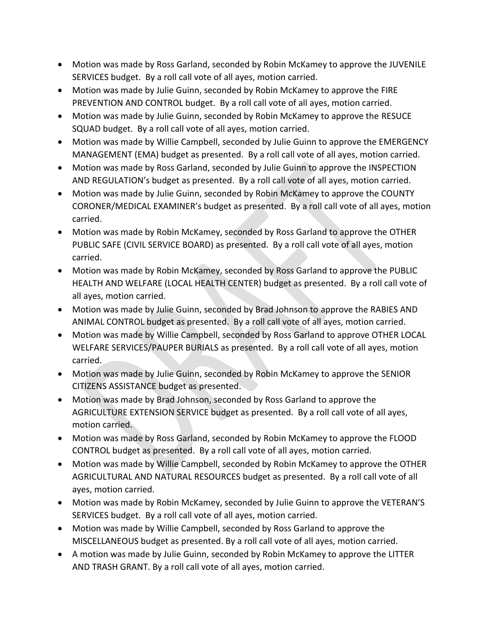- Motion was made by Ross Garland, seconded by Robin McKamey to approve the JUVENILE SERVICES budget. By a roll call vote of all ayes, motion carried.
- Motion was made by Julie Guinn, seconded by Robin McKamey to approve the FIRE PREVENTION AND CONTROL budget. By a roll call vote of all ayes, motion carried.
- Motion was made by Julie Guinn, seconded by Robin McKamey to approve the RESUCE SQUAD budget. By a roll call vote of all ayes, motion carried.
- Motion was made by Willie Campbell, seconded by Julie Guinn to approve the EMERGENCY MANAGEMENT (EMA) budget as presented. By a roll call vote of all ayes, motion carried.
- Motion was made by Ross Garland, seconded by Julie Guinn to approve the INSPECTION AND REGULATION's budget as presented. By a roll call vote of all ayes, motion carried.
- Motion was made by Julie Guinn, seconded by Robin McKamey to approve the COUNTY CORONER/MEDICAL EXAMINER's budget as presented. By a roll call vote of all ayes, motion carried.
- Motion was made by Robin McKamey, seconded by Ross Garland to approve the OTHER PUBLIC SAFE (CIVIL SERVICE BOARD) as presented. By a roll call vote of all ayes, motion carried.
- Motion was made by Robin McKamey, seconded by Ross Garland to approve the PUBLIC HEALTH AND WELFARE (LOCAL HEALTH CENTER) budget as presented. By a roll call vote of all ayes, motion carried.
- Motion was made by Julie Guinn, seconded by Brad Johnson to approve the RABIES AND ANIMAL CONTROL budget as presented. By a roll call vote of all ayes, motion carried.
- Motion was made by Willie Campbell, seconded by Ross Garland to approve OTHER LOCAL WELFARE SERVICES/PAUPER BURIALS as presented. By a roll call vote of all ayes, motion carried.
- Motion was made by Julie Guinn, seconded by Robin McKamey to approve the SENIOR CITIZENS ASSISTANCE budget as presented.
- Motion was made by Brad Johnson, seconded by Ross Garland to approve the AGRICULTURE EXTENSION SERVICE budget as presented. By a roll call vote of all ayes, motion carried.
- Motion was made by Ross Garland, seconded by Robin McKamey to approve the FLOOD CONTROL budget as presented. By a roll call vote of all ayes, motion carried.
- Motion was made by Willie Campbell, seconded by Robin McKamey to approve the OTHER AGRICULTURAL AND NATURAL RESOURCES budget as presented. By a roll call vote of all ayes, motion carried.
- Motion was made by Robin McKamey, seconded by Julie Guinn to approve the VETERAN'S SERVICES budget. By a roll call vote of all ayes, motion carried.
- Motion was made by Willie Campbell, seconded by Ross Garland to approve the MISCELLANEOUS budget as presented. By a roll call vote of all ayes, motion carried.
- A motion was made by Julie Guinn, seconded by Robin McKamey to approve the LITTER AND TRASH GRANT. By a roll call vote of all ayes, motion carried.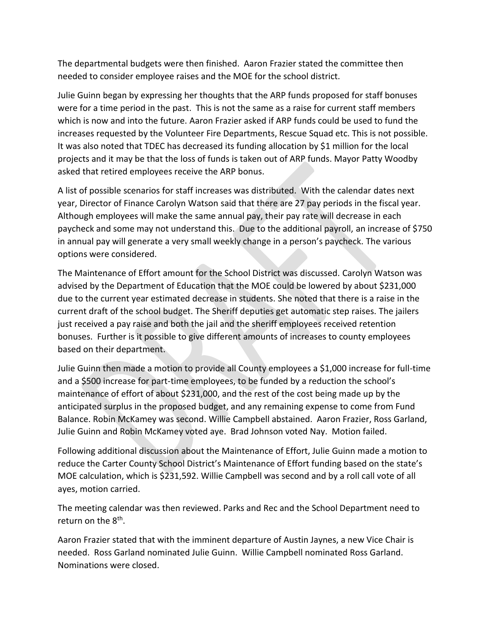The departmental budgets were then finished. Aaron Frazier stated the committee then needed to consider employee raises and the MOE for the school district.

Julie Guinn began by expressing her thoughts that the ARP funds proposed for staff bonuses were for a time period in the past. This is not the same as a raise for current staff members which is now and into the future. Aaron Frazier asked if ARP funds could be used to fund the increases requested by the Volunteer Fire Departments, Rescue Squad etc. This is not possible. It was also noted that TDEC has decreased its funding allocation by \$1 million for the local projects and it may be that the loss of funds is taken out of ARP funds. Mayor Patty Woodby asked that retired employees receive the ARP bonus.

A list of possible scenarios for staff increases was distributed. With the calendar dates next year, Director of Finance Carolyn Watson said that there are 27 pay periods in the fiscal year. Although employees will make the same annual pay, their pay rate will decrease in each paycheck and some may not understand this. Due to the additional payroll, an increase of \$750 in annual pay will generate a very small weekly change in a person's paycheck. The various options were considered.

The Maintenance of Effort amount for the School District was discussed. Carolyn Watson was advised by the Department of Education that the MOE could be lowered by about \$231,000 due to the current year estimated decrease in students. She noted that there is a raise in the current draft of the school budget. The Sheriff deputies get automatic step raises. The jailers just received a pay raise and both the jail and the sheriff employees received retention bonuses. Further is it possible to give different amounts of increases to county employees based on their department.

Julie Guinn then made a motion to provide all County employees a \$1,000 increase for full-time and a \$500 increase for part-time employees, to be funded by a reduction the school's maintenance of effort of about \$231,000, and the rest of the cost being made up by the anticipated surplus in the proposed budget, and any remaining expense to come from Fund Balance. Robin McKamey was second. Willie Campbell abstained. Aaron Frazier, Ross Garland, Julie Guinn and Robin McKamey voted aye. Brad Johnson voted Nay. Motion failed.

Following additional discussion about the Maintenance of Effort, Julie Guinn made a motion to reduce the Carter County School District's Maintenance of Effort funding based on the state's MOE calculation, which is \$231,592. Willie Campbell was second and by a roll call vote of all ayes, motion carried.

The meeting calendar was then reviewed. Parks and Rec and the School Department need to return on the 8<sup>th</sup>.

Aaron Frazier stated that with the imminent departure of Austin Jaynes, a new Vice Chair is needed. Ross Garland nominated Julie Guinn. Willie Campbell nominated Ross Garland. Nominations were closed.